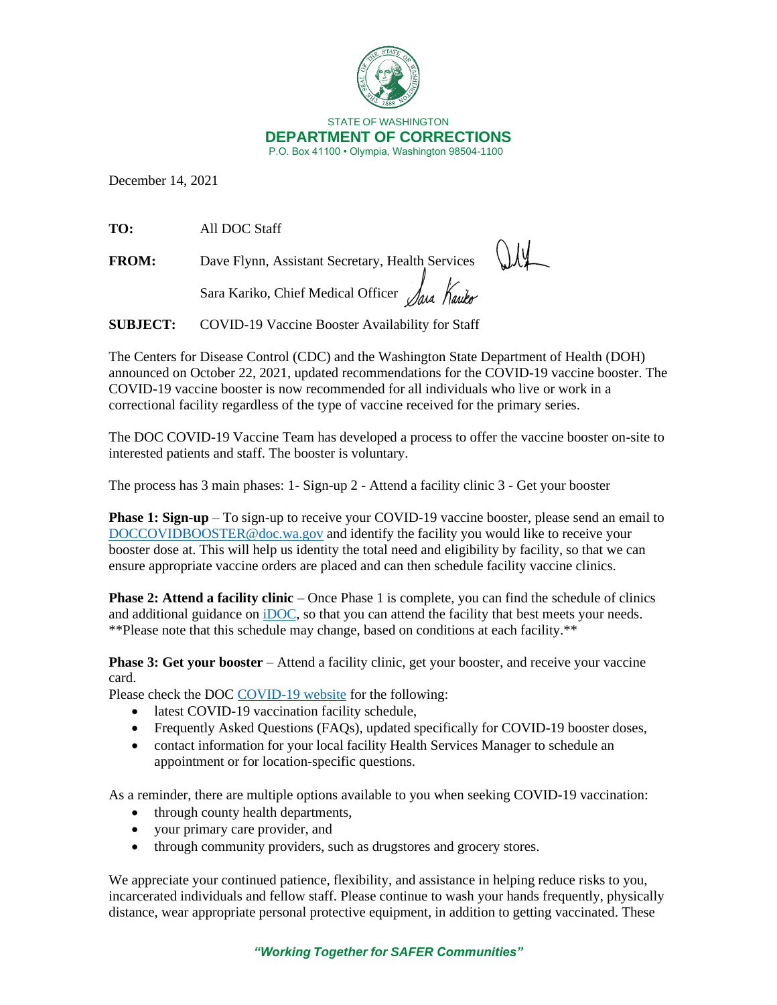

December 14, 2021

**TO:** All DOC Staff

FROM: Dave Flynn, Assistant Secretary, Health Services

Sara Kariko, Chief Medical Officer  $\int_{\mathcal{A}} \mathcal{A}$ 

**SUBJECT:** COVID-19 Vaccine Booster Availability for Staff

The Centers for Disease Control (CDC) and the Washington State Department of Health (DOH) announced on October 22, 2021, updated recommendations for the COVID-19 vaccine booster. The COVID-19 vaccine booster is now recommended for all individuals who live or work in a correctional facility regardless of the type of vaccine received for the primary series.

 $\bigcup \bigcup$ 

The DOC COVID-19 Vaccine Team has developed a process to offer the vaccine booster on-site to interested patients and staff. The booster is voluntary.

The process has 3 main phases: 1- Sign-up 2 - Attend a facility clinic 3 - Get your booster

**Phase 1: Sign-up** – To sign-up to receive your COVID-19 vaccine booster, please send an email to [DOCCOVIDBOOSTER@doc.wa.gov](mailto:DOCCOVIDBOOSTER@doc.wa.gov) and identify the facility you would like to receive your booster dose at. This will help us identity the total need and eligibility by facility, so that we can ensure appropriate vaccine orders are placed and can then schedule facility vaccine clinics.

**Phase 2: Attend a facility clinic** – Once Phase 1 is complete, you can find the schedule of clinics and additional guidance on [iDOC,](http://idoc/employees/health-safety/screenings-vaccines.htm) so that you can attend the facility that best meets your needs. \*\*Please note that this schedule may change, based on conditions at each facility.\*\*

**Phase 3: Get your booster** – Attend a facility clinic, get your booster, and receive your vaccine card.

Please check the DOC [COVID-19 website](http://idoc/employees/health-safety/screenings-vaccines.htm) for the following:

- latest COVID-19 vaccination facility schedule,
- Frequently Asked Questions (FAQs), updated specifically for COVID-19 booster doses,
- contact information for your local facility Health Services Manager to schedule an appointment or for location-specific questions.

As a reminder, there are multiple options available to you when seeking COVID-19 vaccination:

- through county health departments,
- your primary care provider, and
- through community providers, such as drugstores and grocery stores.

We appreciate your continued patience, flexibility, and assistance in helping reduce risks to you, incarcerated individuals and fellow staff. Please continue to wash your hands frequently, physically distance, wear appropriate personal protective equipment, in addition to getting vaccinated. These

*"Working Together for SAFER Communities"*